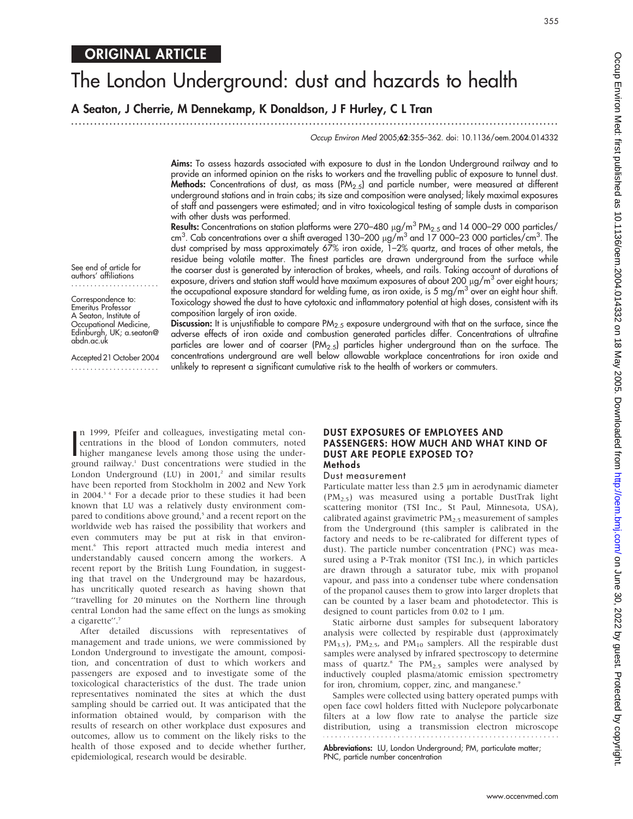355

# The London Underground: dust and hazards to health

A Seaton, J Cherrie, M Dennekamp, K Donaldson, J F Hurley, C L Tran

...............................................................................................................................

Occup Environ Med 2005;62:355–362. doi: 10.1136/oem.2004.014332

Aims: To assess hazards associated with exposure to dust in the London Underground railway and to provide an informed opinion on the risks to workers and the travelling public of exposure to tunnel dust. **Methods:** Concentrations of dust, as mass (PM<sub>2.5</sub>) and particle number, were measured at different underground stations and in train cabs; its size and composition were analysed; likely maximal exposures of staff and passengers were estimated; and in vitro toxicological testing of sample dusts in comparison with other dusts was performed.

Results: Concentrations on station platforms were 270-480  $\mu g/m^3$  PM<sub>2.5</sub> and 14 000-29 000 particles/ cm $^3$ . Cab concentrations over a shift averaged 130–200  $\mu$ g/m $^3$  and 17 000–23 000 particles/cm $^3$ . The dust comprised by mass approximately 67% iron oxide, 1–2% quartz, and traces of other metals, the residue being volatile matter. The finest particles are drawn underground from the surface while the coarser dust is generated by interaction of brakes, wheels, and rails. Taking account of durations of exposure, drivers and station staff would have maximum exposures of about 200  $\mu$ g/m<sup>3</sup> over eight hours; the occupational exposure standard for welding fume, as iron oxide, is 5 mg/m<sup>3</sup> over an eight hour shift. Toxicology showed the dust to have cytotoxic and inflammatory potential at high doses, consistent with its composition largely of iron oxide.

See end of article for authors' affiliations .......................

Correspondence to: Emeritus Professor A Seaton, Institute of Occupational Medicine, Edinburgh, UK; a.seaton@ abdn.ac.uk

Accepted 21 October 2004 .......................

Discussion: It is unjustifiable to compare PM<sub>2.5</sub> exposure underground with that on the surface, since the adverse effects of iron oxide and combustion generated particles differ. Concentrations of ultrafine particles are lower and of coarser (PM<sub>2.5</sub>) particles higher underground than on the surface. The concentrations underground are well below allowable workplace concentrations for iron oxide and unlikely to represent a significant cumulative risk to the health of workers or commuters.

In 1999, Pietter and colleagues, investigating metal concentrations in the blood of London commuters, noted<br>higher manganese levels among those using the under-<br>higher manganese levels among those using the undern 1999, Pfeifer and colleagues, investigating metal concentrations in the blood of London commuters, noted ground railway.1 Dust concentrations were studied in the London Underground (LU) in  $2001$ ,<sup>2</sup> and similar results have been reported from Stockholm in 2002 and New York in 2004.3 4 For a decade prior to these studies it had been known that LU was a relatively dusty environment compared to conditions above ground,<sup>5</sup> and a recent report on the worldwide web has raised the possibility that workers and even commuters may be put at risk in that environment.6 This report attracted much media interest and understandably caused concern among the workers. A recent report by the British Lung Foundation, in suggesting that travel on the Underground may be hazardous, has uncritically quoted research as having shown that ''travelling for 20 minutes on the Northern line through central London had the same effect on the lungs as smoking a cigarette''.7

After detailed discussions with representatives of management and trade unions, we were commissioned by London Underground to investigate the amount, composition, and concentration of dust to which workers and passengers are exposed and to investigate some of the toxicological characteristics of the dust. The trade union representatives nominated the sites at which the dust sampling should be carried out. It was anticipated that the information obtained would, by comparison with the results of research on other workplace dust exposures and outcomes, allow us to comment on the likely risks to the health of those exposed and to decide whether further, epidemiological, research would be desirable.

## DUST EXPOSURES OF EMPLOYEES AND PASSENGERS: HOW MUCH AND WHAT KIND OF DUST ARE PEOPLE EXPOSED TO? Methods

## Dust measurement

Particulate matter less than 2.5 µm in aerodynamic diameter (PM2.5) was measured using a portable DustTrak light scattering monitor (TSI Inc., St Paul, Minnesota, USA), calibrated against gravimetric  $PM<sub>2.5</sub>$  measurement of samples from the Underground (this sampler is calibrated in the factory and needs to be re-calibrated for different types of dust). The particle number concentration (PNC) was measured using a P-Trak monitor (TSI Inc.), in which particles are drawn through a saturator tube, mix with propanol vapour, and pass into a condenser tube where condensation of the propanol causes them to grow into larger droplets that can be counted by a laser beam and photodetector. This is designed to count particles from 0.02 to 1  $\mu$ m.

Static airborne dust samples for subsequent laboratory analysis were collected by respirable dust (approximately PM<sub>3.5</sub>), PM<sub>2.5</sub>, and PM<sub>10</sub> samplers. All the respirable dust samples were analysed by infrared spectroscopy to determine mass of quartz.<sup>8</sup> The PM<sub>2.5</sub> samples were analysed by inductively coupled plasma/atomic emission spectrometry for iron, chromium, copper, zinc, and manganese.<sup>9</sup>

Samples were collected using battery operated pumps with open face cowl holders fitted with Nuclepore polycarbonate filters at a low flow rate to analyse the particle size distribution, using a transmission electron microscope 

Abbreviations: LU, London Underground; PM, particulate matter; PNC, particle number concentration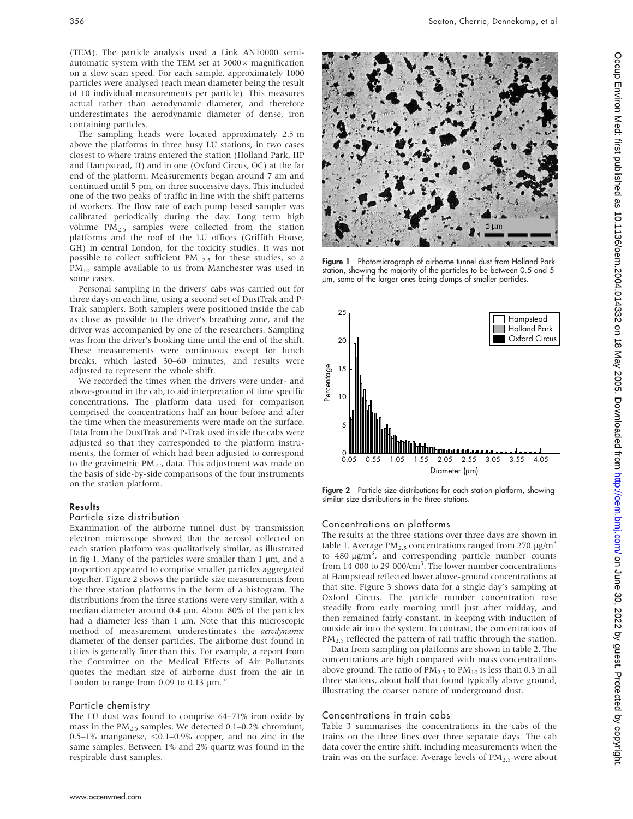(TEM). The particle analysis used a Link AN10000 semiautomatic system with the TEM set at  $5000 \times$  magnification on a slow scan speed. For each sample, approximately 1000 particles were analysed (each mean diameter being the result of 10 individual measurements per particle). This measures actual rather than aerodynamic diameter, and therefore underestimates the aerodynamic diameter of dense, iron containing particles.

The sampling heads were located approximately 2.5 m above the platforms in three busy LU stations, in two cases closest to where trains entered the station (Holland Park, HP and Hampstead, H) and in one (Oxford Circus, OC) at the far end of the platform. Measurements began around 7 am and continued until 5 pm, on three successive days. This included one of the two peaks of traffic in line with the shift patterns of workers. The flow rate of each pump based sampler was calibrated periodically during the day. Long term high volume  $PM_{2.5}$  samples were collected from the station platforms and the roof of the LU offices (Griffith House, GH) in central London, for the toxicity studies. It was not possible to collect sufficient PM  $_{2.5}$  for these studies, so a PM<sub>10</sub> sample available to us from Manchester was used in some cases.

Personal sampling in the drivers' cabs was carried out for three days on each line, using a second set of DustTrak and P-Trak samplers. Both samplers were positioned inside the cab as close as possible to the driver's breathing zone, and the driver was accompanied by one of the researchers. Sampling was from the driver's booking time until the end of the shift. These measurements were continuous except for lunch breaks, which lasted 30–60 minutes, and results were adjusted to represent the whole shift.

We recorded the times when the drivers were under- and above-ground in the cab, to aid interpretation of time specific concentrations. The platform data used for comparison comprised the concentrations half an hour before and after the time when the measurements were made on the surface. Data from the DustTrak and P-Trak used inside the cabs were adjusted so that they corresponded to the platform instruments, the former of which had been adjusted to correspond to the gravimetric  $PM<sub>2.5</sub>$  data. This adjustment was made on the basis of side-by-side comparisons of the four instruments on the station platform.

### Results

## Particle size distribution

Examination of the airborne tunnel dust by transmission electron microscope showed that the aerosol collected on each station platform was qualitatively similar, as illustrated in fig 1. Many of the particles were smaller than  $1 \mu m$ , and a proportion appeared to comprise smaller particles aggregated together. Figure 2 shows the particle size measurements from the three station platforms in the form of a histogram. The distributions from the three stations were very similar, with a median diameter around  $0.4 \mu m$ . About 80% of the particles had a diameter less than  $1 \mu m$ . Note that this microscopic method of measurement underestimates the aerodynamic diameter of the denser particles. The airborne dust found in cities is generally finer than this. For example, a report from the Committee on the Medical Effects of Air Pollutants quotes the median size of airborne dust from the air in London to range from 0.09 to 0.13  $\mu$ m.<sup>10</sup>

## Particle chemistry

The LU dust was found to comprise 64–71% iron oxide by mass in the PM<sub>2.5</sub> samples. We detected 0.1-0.2% chromium,  $0.5-1\%$  manganese,  $\leq 0.1-0.9\%$  copper, and no zinc in the same samples. Between 1% and 2% quartz was found in the respirable dust samples.



Figure 1 Photomicrograph of airborne tunnel dust from Holland Park station, showing the majority of the particles to be between 0.5 and 5 um, some of the larger ones being clumps of smaller particles.



Figure 2 Particle size distributions for each station platform, showing similar size distributions in the three stations.

## Concentrations on platforms

The results at the three stations over three days are shown in table 1. Average PM<sub>2.5</sub> concentrations ranged from 270  $\mu$ g/m<sup>3</sup> to  $480 \mu g/m^3$ , and corresponding particle number counts from 14 000 to 29 000/cm<sup>3</sup>. The lower number concentrations at Hampstead reflected lower above-ground concentrations at that site. Figure 3 shows data for a single day's sampling at Oxford Circus. The particle number concentration rose steadily from early morning until just after midday, and then remained fairly constant, in keeping with induction of outside air into the system. In contrast, the concentrations of  $PM<sub>2.5</sub>$  reflected the pattern of rail traffic through the station.

Data from sampling on platforms are shown in table 2. The concentrations are high compared with mass concentrations above ground. The ratio of  $PM_{2.5}$  to  $PM_{10}$  is less than 0.3 in all three stations, about half that found typically above ground, illustrating the coarser nature of underground dust.

## Concentrations in train cabs

Table 3 summarises the concentrations in the cabs of the trains on the three lines over three separate days. The cab data cover the entire shift, including measurements when the train was on the surface. Average levels of  $PM<sub>2.5</sub>$  were about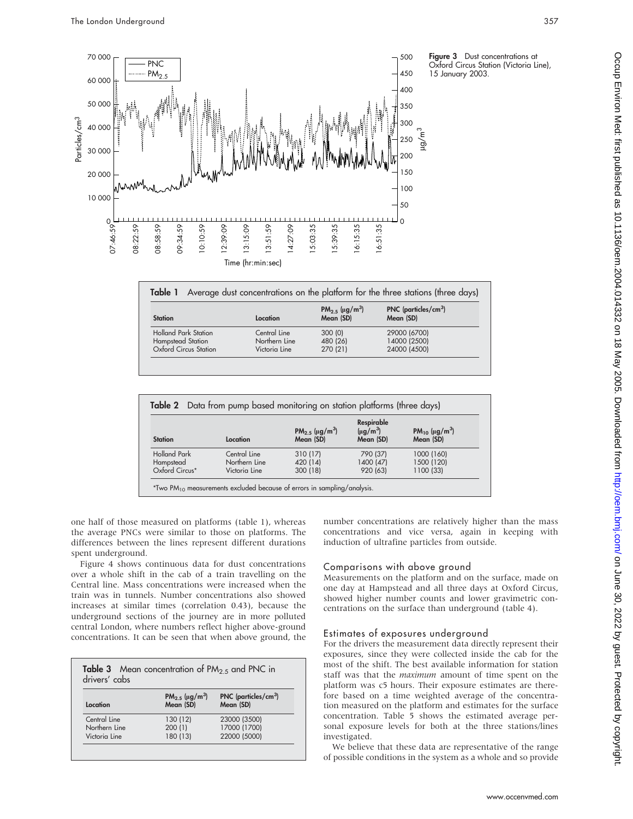

Figure 3 Dust concentrations at Oxford Circus Station (Victoria 15 January 2003.

| <sub>l</sub> t<br>Line),                                |  |  |
|---------------------------------------------------------|--|--|
|                                                         |  |  |
|                                                         |  |  |
|                                                         |  |  |
|                                                         |  |  |
|                                                         |  |  |
|                                                         |  |  |
|                                                         |  |  |
|                                                         |  |  |
|                                                         |  |  |
| mass<br>with                                            |  |  |
| ide on<br>Circus,<br>c con-<br>$\overline{\phantom{a}}$ |  |  |
| t their<br>or the                                       |  |  |

|                     |               | PM <sub>2.5</sub> ( $\mu$ g/m <sup>3</sup> ) | Respirable<br>$(\mu q/m^3)$ | PM <sub>10</sub> ( $\mu$ g/m <sup>3</sup> ) |
|---------------------|---------------|----------------------------------------------|-----------------------------|---------------------------------------------|
| <b>Station</b>      | Location      | Mean (SD)                                    | Mean (SD)                   | Mean (SD)                                   |
| <b>Holland Park</b> | Central Line  | 310 (17)                                     | 790 (37)                    | 1000 (160)                                  |
| Hampstead           | Northern Line | 420 (14)                                     | 1400 (47)                   | 1500 (120)                                  |
| Oxford Circus*      | Victoria Line | 300 (18)                                     | 920 (63)                    | 1100 (33)                                   |

one half of those measured on platforms (table 1), whereas the average PNCs were similar to those on platforms. The differences between the lines represent different durations spent underground.

Figure 4 shows continuous data for dust concentrations over a whole shift in the cab of a train travelling on the Central line. Mass concentrations were increased when the train was in tunnels. Number concentrations also showed increases at similar times (correlation 0.43), because the underground sections of the journey are in more polluted central London, where numbers reflect higher above-ground concentrations. It can be seen that when above ground, the

| drivers' cabs |                                                           |                                               |
|---------------|-----------------------------------------------------------|-----------------------------------------------|
| Location      | PM <sub>2.5</sub> ( $\mu$ g/m <sup>3</sup> )<br>Mean (SD) | PNC (particles/cm <sup>3</sup> )<br>Mean (SD) |
| Central Line  | 130 (12)                                                  | 23000 (3500)                                  |
| Northern Line | 200(1)                                                    | 17000 (1700)                                  |
| Victoria Line | 180 (13)                                                  | 22000 (5000)                                  |

number concentrations are relatively higher than the concentrations and vice versa, again in keeping induction of ultrafine particles from outside.

# Comparisons with above ground

Measurements on the platform and on the surface, ma one day at Hampstead and all three days at Oxford C showed higher number counts and lower gravimetric centrations on the surface than underground (table 4).

# Estimates of exposures underground

For the drivers the measurement data directly represent exposures, since they were collected inside the cab for most of the shift. The best available information for station staff was that the maximum amount of time spent on the platform was c5 hours. Their exposure estimates are therefore based on a time weighted average of the concentration measured on the platform and estimates for the surface concentration. Table 5 shows the estimated average personal exposure levels for both at the three stations/lines investigated.

We believe that these data are representative of the range of possible conditions in the system as a whole and so provide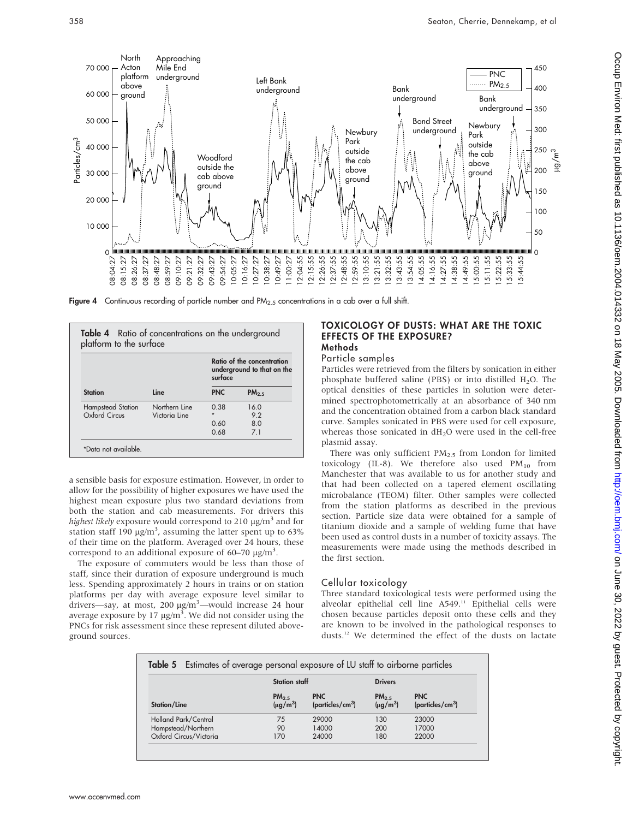

Figure 4 Continuous recording of particle number and  $PM_{2.5}$  concentrations in a cab over a full shift.

| <b>Station</b>           | Line          | Ratio of the concentration<br>underground to that on the<br>surface |                   |  |
|--------------------------|---------------|---------------------------------------------------------------------|-------------------|--|
|                          |               | <b>PNC</b>                                                          | PM <sub>2.5</sub> |  |
| <b>Hampstead Station</b> | Northern Line | 0.38                                                                | 16.0              |  |
| Oxford Circus            | Victoria Line | $\star$                                                             | 92                |  |
|                          |               | 0.60                                                                | 8 <sub>0</sub>    |  |
|                          |               | 0.68                                                                | 7.1               |  |

a sensible basis for exposure estimation. However, in order to allow for the possibility of higher exposures we have used the highest mean exposure plus two standard deviations from both the station and cab measurements. For drivers this *highest likely* exposure would correspond to 210  $\mu$ g/m<sup>3</sup> and for station staff 190  $\mu$ g/m<sup>3</sup>, assuming the latter spent up to 63% of their time on the platform. Averaged over 24 hours, these correspond to an additional exposure of 60–70  $\mu$ g/m<sup>3</sup>.

The exposure of commuters would be less than those of staff, since their duration of exposure underground is much less. Spending approximately 2 hours in trains or on station platforms per day with average exposure level similar to drivers—say, at most, 200  $\mu$ g/m<sup>3</sup>—would increase 24 hour average exposure by 17  $\mu$ g/m<sup>3</sup>. We did not consider using the PNCs for risk assessment since these represent diluted aboveground sources.

## TOXICOLOGY OF DUSTS: WHAT ARE THE TOXIC EFFECTS OF THE EXPOSURE? **Methods**

## Particle samples

Particles were retrieved from the filters by sonication in either phosphate buffered saline (PBS) or into distilled  $H<sub>2</sub>O$ . The optical densities of these particles in solution were determined spectrophotometrically at an absorbance of 340 nm and the concentration obtained from a carbon black standard curve. Samples sonicated in PBS were used for cell exposure, whereas those sonicated in dH2O were used in the cell-free plasmid assay.

There was only sufficient  $PM_{2.5}$  from London for limited toxicology (IL-8). We therefore also used  $PM_{10}$  from Manchester that was available to us for another study and that had been collected on a tapered element oscillating microbalance (TEOM) filter. Other samples were collected from the station platforms as described in the previous section. Particle size data were obtained for a sample of titanium dioxide and a sample of welding fume that have been used as control dusts in a number of toxicity assays. The measurements were made using the methods described in the first section.

## Cellular toxicology

Three standard toxicological tests were performed using the alveolar epithelial cell line A549.<sup>11</sup> Epithelial cells were chosen because particles deposit onto these cells and they are known to be involved in the pathological responses to dusts.12 We determined the effect of the dusts on lactate

|                                              |                                    | Station staff                          |                                    | <b>Drivers</b>                             |  |
|----------------------------------------------|------------------------------------|----------------------------------------|------------------------------------|--------------------------------------------|--|
| Station/Line                                 | PM <sub>2.5</sub><br>$(\mu q/m^3)$ | <b>PNC</b><br>${\rm (particles/cm^3)}$ | PM <sub>2.5</sub><br>$(\mu q/m^3)$ | <b>PNC</b><br>(particles/cm <sup>3</sup> ) |  |
| Holland Park/Central                         | 75                                 | 29000                                  | 130                                | 23000                                      |  |
| Hampstead/Northern<br>Oxford Circus/Victoria | 90                                 | 14000                                  | 200                                | 17000                                      |  |
|                                              | 170                                | 24000                                  | 180                                | 22000                                      |  |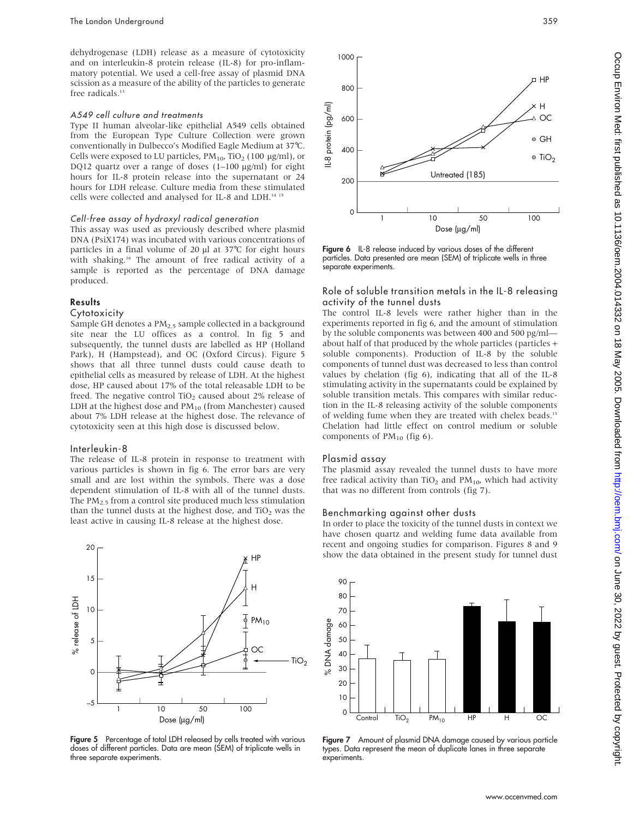dehydrogenase (LDH) release as a measure of cytotoxicity and on interleukin-8 protein release (IL-8) for pro-inflammatory potential. We used a cell-free assay of plasmid DNA scission as a measure of the ability of the particles to generate free radicals.<sup>13</sup>

#### A549 cell culture and treatments

Type II human alveolar-like epithelial A549 cells obtained from the European Type Culture Collection were grown conventionally in Dulbecco's Modified Eagle Medium at 37˚C. Cells were exposed to LU particles,  $PM_{10}$ , TiO<sub>2</sub> (100 µg/ml), or DQ12 quartz over a range of doses  $(1-100 \mu g/ml)$  for eight hours for IL-8 protein release into the supernatant or 24 hours for LDH release. Culture media from these stimulated cells were collected and analysed for IL-8 and LDH.<sup>14 15</sup>

#### Cell-free assay of hydroxyl radical generation

This assay was used as previously described where plasmid DNA (PsiX174) was incubated with various concentrations of particles in a final volume of 20  $\mu$ l at 37°C for eight hours with shaking.16 The amount of free radical activity of a sample is reported as the percentage of DNA damage produced.

#### Results

#### **Cytotoxicity**

Sample GH denotes a PM<sub>2.5</sub> sample collected in a background site near the LU offices as a control. In fig 5 and subsequently, the tunnel dusts are labelled as HP (Holland Park), H (Hampstead), and OC (Oxford Circus). Figure 5 shows that all three tunnel dusts could cause death to epithelial cells as measured by release of LDH. At the highest dose, HP caused about 17% of the total releasable LDH to be freed. The negative control  $TiO<sub>2</sub>$  caused about 2% release of LDH at the highest dose and  $PM_{10}$  (from Manchester) caused about 7% LDH release at the highest dose. The relevance of cytotoxicity seen at this high dose is discussed below.

#### Interleukin-8

The release of IL-8 protein in response to treatment with various particles is shown in fig 6. The error bars are very small and are lost within the symbols. There was a dose dependent stimulation of IL-8 with all of the tunnel dusts. The  $PM_{2.5}$  from a control site produced much less stimulation than the tunnel dusts at the highest dose, and  $TiO<sub>2</sub>$  was the least active in causing IL-8 release at the highest dose.



Figure 5 Percentage of total LDH released by cells treated with various doses of different particles. Data are mean (SEM) of triplicate wells in three separate experiments.



Figure 6 IL-8 release induced by various doses of the different particles. Data presented are mean (SEM) of triplicate wells in three separate experiments.

## Role of soluble transition metals in the IL-8 releasing activity of the tunnel dusts

The control IL-8 levels were rather higher than in the experiments reported in fig 6, and the amount of stimulation by the soluble components was between 400 and 500 pg/ml about half of that produced by the whole particles (particles + soluble components). Production of IL-8 by the soluble components of tunnel dust was decreased to less than control values by chelation (fig 6), indicating that all of the IL-8 stimulating activity in the supernatants could be explained by soluble transition metals. This compares with similar reduction in the IL-8 releasing activity of the soluble components of welding fume when they are treated with chelex beads.<sup>15</sup> Chelation had little effect on control medium or soluble components of  $PM_{10}$  (fig 6).

## Plasmid assay

The plasmid assay revealed the tunnel dusts to have more free radical activity than  $TiO<sub>2</sub>$  and PM<sub>10</sub>, which had activity that was no different from controls (fig 7).

#### Benchmarking against other dusts

In order to place the toxicity of the tunnel dusts in context we have chosen quartz and welding fume data available from recent and ongoing studies for comparison. Figures 8 and 9 show the data obtained in the present study for tunnel dust



Figure 7 Amount of plasmid DNA damage caused by various particle types. Data represent the mean of duplicate lanes in three separate experiments.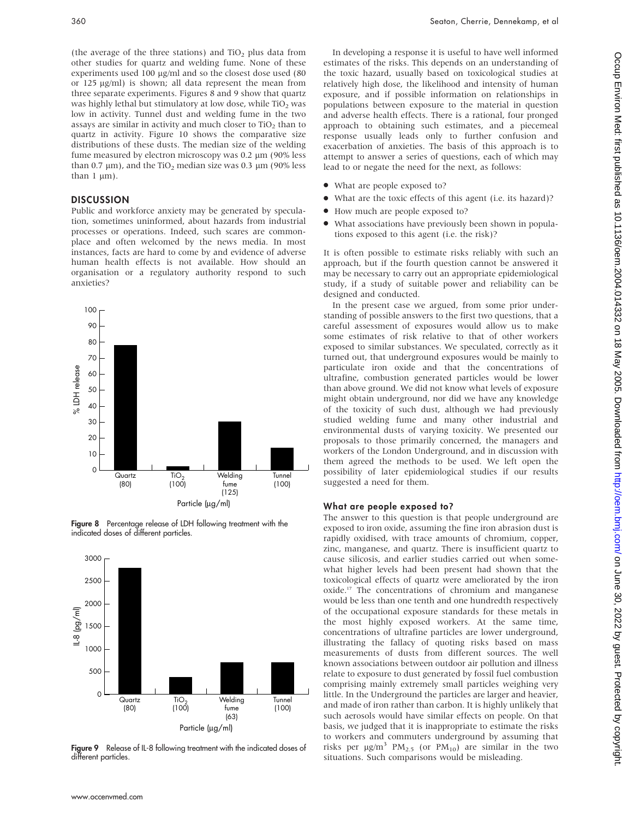(the average of the three stations) and  $TiO<sub>2</sub>$  plus data from other studies for quartz and welding fume. None of these experiments used 100 µg/ml and so the closest dose used (80 or 125 µg/ml) is shown; all data represent the mean from three separate experiments. Figures 8 and 9 show that quartz was highly lethal but stimulatory at low dose, while  $TiO<sub>2</sub>$  was low in activity. Tunnel dust and welding fume in the two assays are similar in activity and much closer to  $TiO<sub>2</sub>$  than to quartz in activity. Figure 10 shows the comparative size distributions of these dusts. The median size of the welding fume measured by electron microscopy was  $0.2 \mu m$  (90% less than 0.7  $\mu$ m), and the TiO<sub>2</sub> median size was 0.3  $\mu$ m (90% less than  $1 \mu m$ ).

## **DISCUSSION**

Public and workforce anxiety may be generated by speculation, sometimes uninformed, about hazards from industrial processes or operations. Indeed, such scares are commonplace and often welcomed by the news media. In most instances, facts are hard to come by and evidence of adverse human health effects is not available. How should an organisation or a regulatory authority respond to such anxieties?



Figure 8 Percentage release of LDH following treatment with the indicated doses of different particles.



Figure 9 Release of IL-8 following treatment with the indicated doses of different particles.

In developing a response it is useful to have well informed estimates of the risks. This depends on an understanding of the toxic hazard, usually based on toxicological studies at relatively high dose, the likelihood and intensity of human exposure, and if possible information on relationships in populations between exposure to the material in question and adverse health effects. There is a rational, four pronged approach to obtaining such estimates, and a piecemeal response usually leads only to further confusion and exacerbation of anxieties. The basis of this approach is to attempt to answer a series of questions, each of which may lead to or negate the need for the next, as follows:

- What are people exposed to?
- What are the toxic effects of this agent (i.e. its hazard)?
- $\bullet$  How much are people exposed to?
- What associations have previously been shown in populations exposed to this agent (i.e. the risk)?

It is often possible to estimate risks reliably with such an approach, but if the fourth question cannot be answered it may be necessary to carry out an appropriate epidemiological study, if a study of suitable power and reliability can be designed and conducted.

In the present case we argued, from some prior understanding of possible answers to the first two questions, that a careful assessment of exposures would allow us to make some estimates of risk relative to that of other workers exposed to similar substances. We speculated, correctly as it turned out, that underground exposures would be mainly to particulate iron oxide and that the concentrations of ultrafine, combustion generated particles would be lower than above ground. We did not know what levels of exposure might obtain underground, nor did we have any knowledge of the toxicity of such dust, although we had previously studied welding fume and many other industrial and environmental dusts of varying toxicity. We presented our proposals to those primarily concerned, the managers and workers of the London Underground, and in discussion with them agreed the methods to be used. We left open the possibility of later epidemiological studies if our results suggested a need for them.

#### What are people exposed to?

The answer to this question is that people underground are exposed to iron oxide, assuming the fine iron abrasion dust is rapidly oxidised, with trace amounts of chromium, copper, zinc, manganese, and quartz. There is insufficient quartz to cause silicosis, and earlier studies carried out when somewhat higher levels had been present had shown that the toxicological effects of quartz were ameliorated by the iron oxide.<sup>17</sup> The concentrations of chromium and manganese would be less than one tenth and one hundredth respectively of the occupational exposure standards for these metals in the most highly exposed workers. At the same time, concentrations of ultrafine particles are lower underground, illustrating the fallacy of quoting risks based on mass measurements of dusts from different sources. The well known associations between outdoor air pollution and illness relate to exposure to dust generated by fossil fuel combustion comprising mainly extremely small particles weighing very little. In the Underground the particles are larger and heavier, and made of iron rather than carbon. It is highly unlikely that such aerosols would have similar effects on people. On that basis, we judged that it is inappropriate to estimate the risks to workers and commuters underground by assuming that risks per  $\mu$ g/m<sup>3</sup> PM<sub>2.5</sub> (or PM<sub>10</sub>) are similar in the two situations. Such comparisons would be misleading.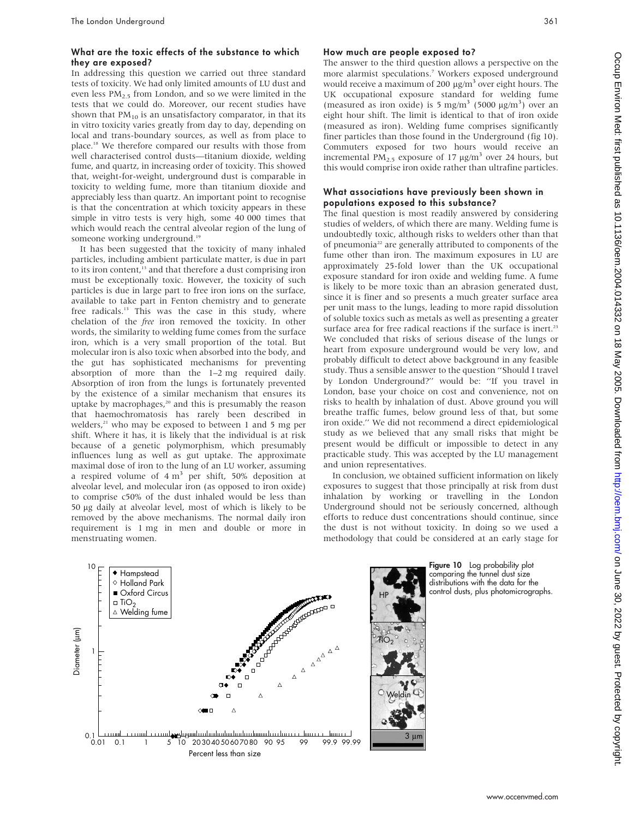## What are the toxic effects of the substance to which they are exposed?

In addressing this question we carried out three standard tests of toxicity. We had only limited amounts of LU dust and even less  $PM_{2.5}$  from London, and so we were limited in the tests that we could do. Moreover, our recent studies have shown that  $PM_{10}$  is an unsatisfactory comparator, in that its in vitro toxicity varies greatly from day to day, depending on local and trans-boundary sources, as well as from place to place.18 We therefore compared our results with those from well characterised control dusts—titanium dioxide, welding fume, and quartz, in increasing order of toxicity. This showed that, weight-for-weight, underground dust is comparable in toxicity to welding fume, more than titanium dioxide and appreciably less than quartz. An important point to recognise is that the concentration at which toxicity appears in these simple in vitro tests is very high, some 40 000 times that which would reach the central alveolar region of the lung of someone working underground.<sup>19</sup>

It has been suggested that the toxicity of many inhaled particles, including ambient particulate matter, is due in part to its iron content,<sup>13</sup> and that therefore a dust comprising iron must be exceptionally toxic. However, the toxicity of such particles is due in large part to free iron ions on the surface, available to take part in Fenton chemistry and to generate free radicals.<sup>13</sup> This was the case in this study, where chelation of the free iron removed the toxicity. In other words, the similarity to welding fume comes from the surface iron, which is a very small proportion of the total. But molecular iron is also toxic when absorbed into the body, and the gut has sophisticated mechanisms for preventing absorption of more than the 1–2 mg required daily. Absorption of iron from the lungs is fortunately prevented by the existence of a similar mechanism that ensures its uptake by macrophages, $20$  and this is presumably the reason that haemochromatosis has rarely been described in welders, $21$  who may be exposed to between 1 and 5 mg per shift. Where it has, it is likely that the individual is at risk because of a genetic polymorphism, which presumably influences lung as well as gut uptake. The approximate maximal dose of iron to the lung of an LU worker, assuming a respired volume of  $4 \text{ m}^3$  per shift, 50% deposition at alveolar level, and molecular iron (as opposed to iron oxide) to comprise c50% of the dust inhaled would be less than 50 mg daily at alveolar level, most of which is likely to be removed by the above mechanisms. The normal daily iron requirement is 1 mg in men and double or more in menstruating women.

## How much are people exposed to?

The answer to the third question allows a perspective on the more alarmist speculations.7 Workers exposed underground would receive a maximum of 200  $\mu$ g/m<sup>3</sup> over eight hours. The UK occupational exposure standard for welding fume (measured as iron oxide) is 5 mg/m<sup>3</sup> (5000  $\mu$ g/m<sup>3</sup>) over an eight hour shift. The limit is identical to that of iron oxide (measured as iron). Welding fume comprises significantly finer particles than those found in the Underground (fig 10). Commuters exposed for two hours would receive an incremental PM<sub>2.5</sub> exposure of 17  $\mu$ g/m<sup>3</sup> over 24 hours, but this would comprise iron oxide rather than ultrafine particles.

## What associations have previously been shown in populations exposed to this substance?

The final question is most readily answered by considering studies of welders, of which there are many. Welding fume is undoubtedly toxic, although risks to welders other than that of pneumonia<sup>22</sup> are generally attributed to components of the fume other than iron. The maximum exposures in LU are approximately 25-fold lower than the UK occupational exposure standard for iron oxide and welding fume. A fume is likely to be more toxic than an abrasion generated dust, since it is finer and so presents a much greater surface area per unit mass to the lungs, leading to more rapid dissolution of soluble toxics such as metals as well as presenting a greater surface area for free radical reactions if the surface is inert.<sup>23</sup> We concluded that risks of serious disease of the lungs or heart from exposure underground would be very low, and probably difficult to detect above background in any feasible study. Thus a sensible answer to the question ''Should I travel by London Underground?'' would be: ''If you travel in London, base your choice on cost and convenience, not on risks to health by inhalation of dust. Above ground you will breathe traffic fumes, below ground less of that, but some iron oxide.'' We did not recommend a direct epidemiological study as we believed that any small risks that might be present would be difficult or impossible to detect in any practicable study. This was accepted by the LU management and union representatives.

In conclusion, we obtained sufficient information on likely exposures to suggest that those principally at risk from dust inhalation by working or travelling in the London Underground should not be seriously concerned, although efforts to reduce dust concentrations should continue, since the dust is not without toxicity. In doing so we used a methodology that could be considered at an early stage for

 $3 \mu m$ 



Figure 10 Log probability plot comparing the tunnel dust size distributions with the data for the control dusts, plus photomicrographs.